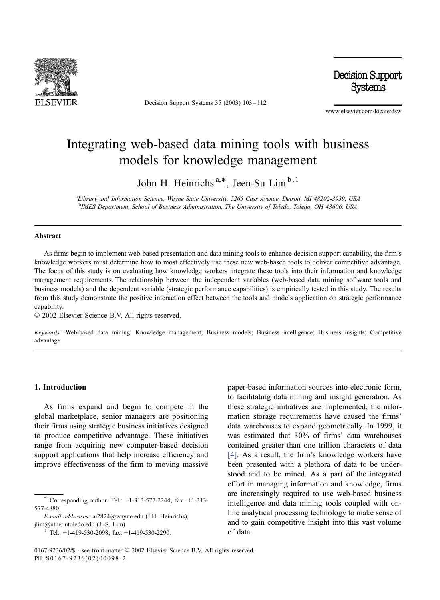

Decision Support Systems 35 (2003) 103 – 112

Decision Support **Systems** 

www.elsevier.com/locate/dsw

## Integrating web-based data mining tools with business models for knowledge management

John H. Heinrichs<sup>a,\*</sup>, Jeen-Su Lim<sup>b,1</sup>

a Library and Information Science, Wayne State University, 5265 Cass Avenue, Detroit, MI 48202-3939, USA <sup>b</sup>IMES Department, School of Business Administration, The University of Toledo, Toledo, OH 43606, USA

#### Abstract

As firms begin to implement web-based presentation and data mining tools to enhance decision support capability, the firm's knowledge workers must determine how to most effectively use these new web-based tools to deliver competitive advantage. The focus of this study is on evaluating how knowledge workers integrate these tools into their information and knowledge management requirements. The relationship between the independent variables (web-based data mining software tools and business models) and the dependent variable (strategic performance capabilities) is empirically tested in this study. The results from this study demonstrate the positive interaction effect between the tools and models application on strategic performance capability.

 $© 2002 Elsevier Science B.V. All rights reserved.$ 

Keywords: Web-based data mining; Knowledge management; Business models; Business intelligence; Business insights; Competitive advantage

#### 1. Introduction

As firms expand and begin to compete in the global marketplace, senior managers are positioning their firms using strategic business initiatives designed to produce competitive advantage. These initiatives range from acquiring new computer-based decision support applications that help increase efficiency and improve effectiveness of the firm to moving massive

E-mail addresses: ai2824@wayne.edu (J.H. Heinrichs), jlim@utnet.utoledo.edu (J.-S. Lim). <sup>1</sup> Tel.: +1-419-530-2098; fax: +1-419-530-2290.

paper-based information sources into electronic form, to facilitating data mining and insight generation. As these strategic initiatives are implemented, the information storage requirements have caused the firms' data warehouses to expand geometrically. In 1999, it was estimated that 30% of firms' data warehouses contained greater than one trillion characters of data [\[4\].](#page--1-0) As a result, the firm's knowledge workers have been presented with a plethora of data to be understood and to be mined. As a part of the integrated effort in managing information and knowledge, firms are increasingly required to use web-based business intelligence and data mining tools coupled with online analytical processing technology to make sense of and to gain competitive insight into this vast volume of data.

Corresponding author. Tel.: +1-313-577-2244; fax: +1-313-577-4880.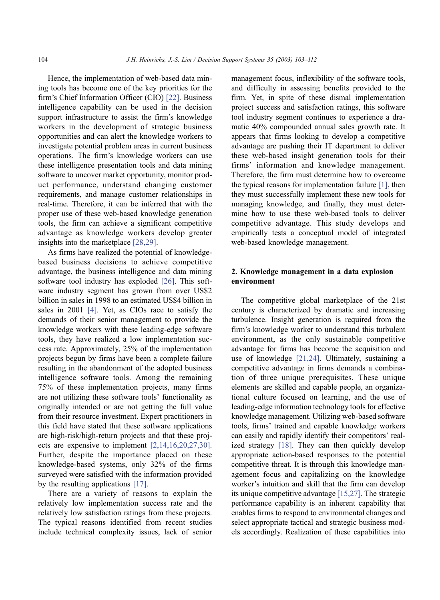Hence, the implementation of web-based data mining tools has become one of the key priorities for the firm's Chief Information Officer (CIO) [\[22\].](#page--1-0) Business intelligence capability can be used in the decision support infrastructure to assist the firm's knowledge workers in the development of strategic business opportunities and can alert the knowledge workers to investigate potential problem areas in current business operations. The firm's knowledge workers can use these intelligence presentation tools and data mining software to uncover market opportunity, monitor product performance, understand changing customer requirements, and manage customer relationships in real-time. Therefore, it can be inferred that with the proper use of these web-based knowledge generation tools, the firm can achieve a significant competitive advantage as knowledge workers develop greater insights into the marketplace [\[28,29\].](#page--1-0)

As firms have realized the potential of knowledgebased business decisions to achieve competitive advantage, the business intelligence and data mining software tool industry has exploded [\[26\].](#page--1-0) This software industry segment has grown from over US\$2 billion in sales in 1998 to an estimated US\$4 billion in sales in 2001 [\[4\].](#page--1-0) Yet, as CIOs race to satisfy the demands of their senior management to provide the knowledge workers with these leading-edge software tools, they have realized a low implementation success rate. Approximately, 25% of the implementation projects begun by firms have been a complete failure resulting in the abandonment of the adopted business intelligence software tools. Among the remaining 75% of these implementation projects, many firms are not utilizing these software tools' functionality as originally intended or are not getting the full value from their resource investment. Expert practitioners in this field have stated that these software applications are high-risk/high-return projects and that these projects are expensive to implement [\[2,14,16,20,27,30\].](#page--1-0) Further, despite the importance placed on these knowledge-based systems, only 32% of the firms surveyed were satisfied with the information provided by the resulting applications [\[17\].](#page--1-0)

There are a variety of reasons to explain the relatively low implementation success rate and the relatively low satisfaction ratings from these projects. The typical reasons identified from recent studies include technical complexity issues, lack of senior management focus, inflexibility of the software tools, and difficulty in assessing benefits provided to the firm. Yet, in spite of these dismal implementation project success and satisfaction ratings, this software tool industry segment continues to experience a dramatic 40% compounded annual sales growth rate. It appears that firms looking to develop a competitive advantage are pushing their IT department to deliver these web-based insight generation tools for their firms' information and knowledge management. Therefore, the firm must determine how to overcome the typical reasons for implementation failure [\[1\],](#page--1-0) then they must successfully implement these new tools for managing knowledge, and finally, they must determine how to use these web-based tools to deliver competitive advantage. This study develops and empirically tests a conceptual model of integrated web-based knowledge management.

### 2. Knowledge management in a data explosion environment

The competitive global marketplace of the 21st century is characterized by dramatic and increasing turbulence. Insight generation is required from the firm's knowledge worker to understand this turbulent environment, as the only sustainable competitive advantage for firms has become the acquisition and use of knowledge [\[21,24\].](#page--1-0) Ultimately, sustaining a competitive advantage in firms demands a combination of three unique prerequisites. These unique elements are skilled and capable people, an organizational culture focused on learning, and the use of leading-edge information technology tools for effective knowledge management. Utilizing web-based software tools, firms' trained and capable knowledge workers can easily and rapidly identify their competitors' realized strategy [\[18\].](#page--1-0) They can then quickly develop appropriate action-based responses to the potential competitive threat. It is through this knowledge management focus and capitalizing on the knowledge worker's intuition and skill that the firm can develop its unique competitive advantage [\[15,27\].](#page--1-0) The strategic performance capability is an inherent capability that enables firms to respond to environmental changes and select appropriate tactical and strategic business models accordingly. Realization of these capabilities into